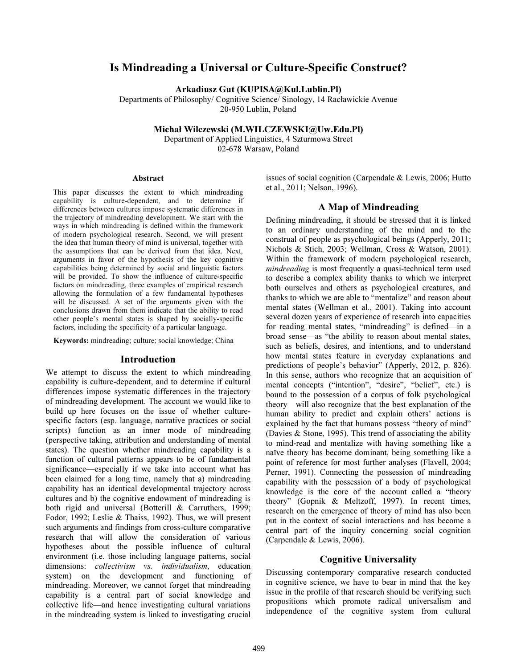# Is Mindreading a Universal or Culture-Specific Construct?

Arkadiusz Gut (KUPISA@Kul.Lublin.Pl)

Departments of Philosophy/ Cognitive Science/ Sinology, 14 Racławickie Avenue 20-950 Lublin, Poland

Michał Wilczewski (M.WILCZEWSKI@Uw.Edu.Pl)

Department of Applied Linguistics, 4 Szturmowa Street 02-678 Warsaw, Poland

#### Abstract

This paper discusses the extent to which mindreading capability is culture-dependent, and to determine if differences between cultures impose systematic differences in the trajectory of mindreading development. We start with the ways in which mindreading is defined within the framework of modern psychological research. Second, we will present the idea that human theory of mind is universal, together with the assumptions that can be derived from that idea. Next, arguments in favor of the hypothesis of the key cognitive capabilities being determined by social and linguistic factors will be provided. To show the influence of culture-specific factors on mindreading, three examples of empirical research allowing the formulation of a few fundamental hypotheses will be discussed. A set of the arguments given with the conclusions drawn from them indicate that the ability to read other people's mental states is shaped by socially-specific factors, including the specificity of a particular language.

Keywords: mindreading; culture; social knowledge; China

#### Introduction

We attempt to discuss the extent to which mindreading capability is culture-dependent, and to determine if cultural differences impose systematic differences in the trajectory of mindreading development. The account we would like to build up here focuses on the issue of whether culturespecific factors (esp. language, narrative practices or social scripts) function as an inner mode of mindreading (perspective taking, attribution and understanding of mental states). The question whether mindreading capability is a function of cultural patterns appears to be of fundamental significance—especially if we take into account what has been claimed for a long time, namely that a) mindreading capability has an identical developmental trajectory across cultures and b) the cognitive endowment of mindreading is both rigid and universal (Botterill & Carruthers, 1999; Fodor, 1992; Leslie & Thaiss, 1992). Thus, we will present such arguments and findings from cross-culture comparative research that will allow the consideration of various hypotheses about the possible influence of cultural environment (i.e. those including language patterns, social dimensions: collectivism vs. individualism, education system) on the development and functioning of mindreading. Moreover, we cannot forget that mindreading capability is a central part of social knowledge and collective life—and hence investigating cultural variations in the mindreading system is linked to investigating crucial

issues of social cognition (Carpendale & Lewis, 2006; Hutto et al., 2011; Nelson, 1996).

#### A Map of Mindreading

Defining mindreading, it should be stressed that it is linked to an ordinary understanding of the mind and to the construal of people as psychological beings (Apperly, 2011; Nichols & Stich, 2003; Wellman, Cross & Watson, 2001). Within the framework of modern psychological research, mindreading is most frequently a quasi-technical term used to describe a complex ability thanks to which we interpret both ourselves and others as psychological creatures, and thanks to which we are able to "mentalize" and reason about mental states (Wellman et al., 2001). Taking into account several dozen years of experience of research into capacities for reading mental states, "mindreading" is defined—in a broad sense—as "the ability to reason about mental states, such as beliefs, desires, and intentions, and to understand how mental states feature in everyday explanations and predictions of people's behavior" (Apperly, 2012, p. 826). In this sense, authors who recognize that an acquisition of mental concepts ("intention", "desire", "belief", etc.) is bound to the possession of a corpus of folk psychological theory—will also recognize that the best explanation of the human ability to predict and explain others' actions is explained by the fact that humans possess "theory of mind" (Davies  $&$  Stone, 1995). This trend of associating the ability to mind-read and mentalize with having something like a naïve theory has become dominant, being something like a point of reference for most further analyses (Flavell, 2004; Perner, 1991). Connecting the possession of mindreading capability with the possession of a body of psychological knowledge is the core of the account called a "theory theory" (Gopnik & Meltzoff, 1997). In recent times, research on the emergence of theory of mind has also been put in the context of social interactions and has become a central part of the inquiry concerning social cognition (Carpendale & Lewis, 2006).

#### Cognitive Universality

Discussing contemporary comparative research conducted in cognitive science, we have to bear in mind that the key issue in the profile of that research should be verifying such propositions which promote radical universalism and independence of the cognitive system from cultural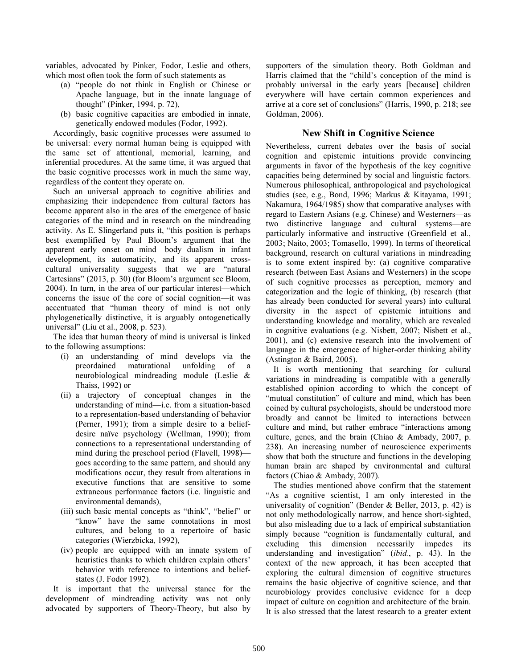variables, advocated by Pinker, Fodor, Leslie and others, which most often took the form of such statements as

- (a) "people do not think in English or Chinese or Apache language, but in the innate language of thought" (Pinker, 1994, p. 72),
- (b) basic cognitive capacities are embodied in innate, genetically endowed modules (Fodor, 1992).

Accordingly, basic cognitive processes were assumed to be universal: every normal human being is equipped with the same set of attentional, memorial, learning, and inferential procedures. At the same time, it was argued that the basic cognitive processes work in much the same way, regardless of the content they operate on.

Such an universal approach to cognitive abilities and emphasizing their independence from cultural factors has become apparent also in the area of the emergence of basic categories of the mind and in research on the mindreading activity. As E. Slingerland puts it, "this position is perhaps best exemplified by Paul Bloom's argument that the apparent early onset on mind—body dualism in infant development, its automaticity, and its apparent crosscultural universality suggests that we are "natural Cartesians" (2013, p. 30) (for Bloom's argument see Bloom, 2004). In turn, in the area of our particular interest—which concerns the issue of the core of social cognition—it was accentuated that "human theory of mind is not only phylogenetically distinctive, it is arguably ontogenetically universal" (Liu et al., 2008, p. 523).

The idea that human theory of mind is universal is linked to the following assumptions:

- (i) an understanding of mind develops via the preordained maturational unfolding of a neurobiological mindreading module (Leslie & Thaiss, 1992) or
- (ii) a trajectory of conceptual changes in the understanding of mind—i.e. from a situation-based to a representation-based understanding of behavior (Perner, 1991); from a simple desire to a beliefdesire naïve psychology (Wellman, 1990); from connections to a representational understanding of mind during the preschool period (Flavell, 1998) goes according to the same pattern, and should any modifications occur, they result from alterations in executive functions that are sensitive to some extraneous performance factors (i.e. linguistic and environmental demands),
- (iii) such basic mental concepts as "think", "belief" or "know" have the same connotations in most cultures, and belong to a repertoire of basic categories (Wierzbicka, 1992),
- (iv) people are equipped with an innate system of heuristics thanks to which children explain others' behavior with reference to intentions and beliefstates (J. Fodor 1992).

It is important that the universal stance for the development of mindreading activity was not only advocated by supporters of Theory-Theory, but also by supporters of the simulation theory. Both Goldman and Harris claimed that the "child's conception of the mind is probably universal in the early years [because] children everywhere will have certain common experiences and arrive at a core set of conclusions" (Harris, 1990, p. 218; see Goldman, 2006).

#### New Shift in Cognitive Science

Nevertheless, current debates over the basis of social cognition and epistemic intuitions provide convincing arguments in favor of the hypothesis of the key cognitive capacities being determined by social and linguistic factors. Numerous philosophical, anthropological and psychological studies (see, e.g., Bond, 1996; Markus & Kitayama, 1991; Nakamura, 1964/1985) show that comparative analyses with regard to Eastern Asians (e.g. Chinese) and Westerners—as two distinctive language and cultural systems—are particularly informative and instructive (Greenfield et al., 2003; Naito, 2003; Tomasello, 1999). In terms of theoretical background, research on cultural variations in mindreading is to some extent inspired by: (a) cognitive comparative research (between East Asians and Westerners) in the scope of such cognitive processes as perception, memory and categorization and the logic of thinking, (b) research (that has already been conducted for several years) into cultural diversity in the aspect of epistemic intuitions and understanding knowledge and morality, which are revealed in cognitive evaluations (e.g. Nisbett, 2007; Nisbett et al., 2001), and (c) extensive research into the involvement of language in the emergence of higher-order thinking ability (Astington & Baird, 2005).

It is worth mentioning that searching for cultural variations in mindreading is compatible with a generally established opinion according to which the concept of "mutual constitution" of culture and mind, which has been coined by cultural psychologists, should be understood more broadly and cannot be limited to interactions between culture and mind, but rather embrace "interactions among culture, genes, and the brain (Chiao & Ambady, 2007, p. 238). An increasing number of neuroscience experiments show that both the structure and functions in the developing human brain are shaped by environmental and cultural factors (Chiao & Ambady, 2007).

The studies mentioned above confirm that the statement "As a cognitive scientist, I am only interested in the universality of cognition" (Bender & Beller, 2013, p. 42) is not only methodologically narrow, and hence short-sighted, but also misleading due to a lack of empirical substantiation simply because "cognition is fundamentally cultural, and excluding this dimension necessarily impedes its understanding and investigation" (ibid., p. 43). In the context of the new approach, it has been accepted that exploring the cultural dimension of cognitive structures remains the basic objective of cognitive science, and that neurobiology provides conclusive evidence for a deep impact of culture on cognition and architecture of the brain. It is also stressed that the latest research to a greater extent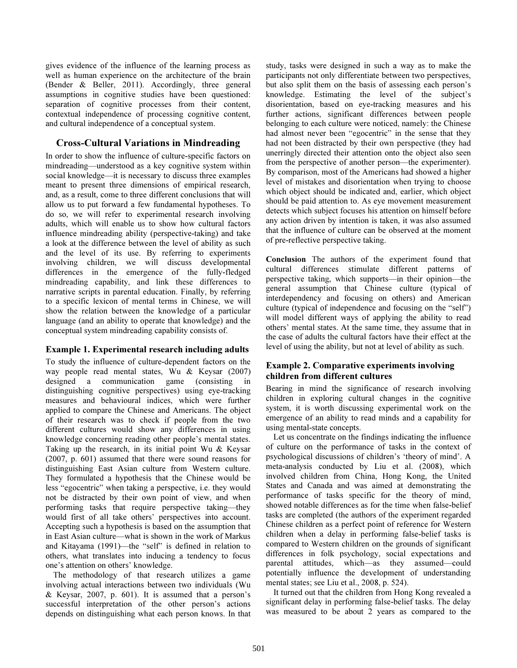gives evidence of the influence of the learning process as well as human experience on the architecture of the brain (Bender & Beller, 2011). Accordingly, three general assumptions in cognitive studies have been questioned: separation of cognitive processes from their content, contextual independence of processing cognitive content, and cultural independence of a conceptual system.

## Cross-Cultural Variations in Mindreading

In order to show the influence of culture-specific factors on mindreading—understood as a key cognitive system within social knowledge—it is necessary to discuss three examples meant to present three dimensions of empirical research, and, as a result, come to three different conclusions that will allow us to put forward a few fundamental hypotheses. To do so, we will refer to experimental research involving adults, which will enable us to show how cultural factors influence mindreading ability (perspective-taking) and take a look at the difference between the level of ability as such and the level of its use. By referring to experiments involving children, we will discuss developmental differences in the emergence of the fully-fledged mindreading capability, and link these differences to narrative scripts in parental education. Finally, by referring to a specific lexicon of mental terms in Chinese, we will show the relation between the knowledge of a particular language (and an ability to operate that knowledge) and the conceptual system mindreading capability consists of.

## Example 1. Experimental research including adults

To study the influence of culture-dependent factors on the way people read mental states, Wu & Keysar (2007) designed a communication game (consisting in distinguishing cognitive perspectives) using eye-tracking measures and behavioural indices, which were further applied to compare the Chinese and Americans. The object of their research was to check if people from the two different cultures would show any differences in using knowledge concerning reading other people's mental states. Taking up the research, in its initial point Wu & Keysar (2007, p. 601) assumed that there were sound reasons for distinguishing East Asian culture from Western culture. They formulated a hypothesis that the Chinese would be less "egocentric" when taking a perspective, i.e. they would not be distracted by their own point of view, and when performing tasks that require perspective taking—they would first of all take others' perspectives into account. Accepting such a hypothesis is based on the assumption that in East Asian culture—what is shown in the work of Markus and Kitayama (1991)—the "self" is defined in relation to others, what translates into inducing a tendency to focus one's attention on others' knowledge.

The methodology of that research utilizes a game involving actual interactions between two individuals (Wu & Keysar, 2007, p. 601). It is assumed that a person's successful interpretation of the other person's actions depends on distinguishing what each person knows. In that study, tasks were designed in such a way as to make the participants not only differentiate between two perspectives, but also split them on the basis of assessing each person's knowledge. Estimating the level of the subject's disorientation, based on eye-tracking measures and his further actions, significant differences between people belonging to each culture were noticed, namely: the Chinese had almost never been "egocentric" in the sense that they had not been distracted by their own perspective (they had unerringly directed their attention onto the object also seen from the perspective of another person—the experimenter). By comparison, most of the Americans had showed a higher level of mistakes and disorientation when trying to choose which object should be indicated and, earlier, which object should be paid attention to. As eye movement measurement detects which subject focuses his attention on himself before any action driven by intention is taken, it was also assumed that the influence of culture can be observed at the moment of pre-reflective perspective taking.

Conclusion The authors of the experiment found that cultural differences stimulate different patterns of perspective taking, which supports—in their opinion—the general assumption that Chinese culture (typical of interdependency and focusing on others) and American culture (typical of independence and focusing on the "self") will model different ways of applying the ability to read others' mental states. At the same time, they assume that in the case of adults the cultural factors have their effect at the level of using the ability, but not at level of ability as such.

## Example 2. Comparative experiments involving children from different cultures

Bearing in mind the significance of research involving children in exploring cultural changes in the cognitive system, it is worth discussing experimental work on the emergence of an ability to read minds and a capability for using mental-state concepts.

Let us concentrate on the findings indicating the influence of culture on the performance of tasks in the context of psychological discussions of children's 'theory of mind'. A meta-analysis conducted by Liu et al. (2008), which involved children from China, Hong Kong, the United States and Canada and was aimed at demonstrating the performance of tasks specific for the theory of mind, showed notable differences as for the time when false-belief tasks are completed (the authors of the experiment regarded Chinese children as a perfect point of reference for Western children when a delay in performing false-belief tasks is compared to Western children on the grounds of significant differences in folk psychology, social expectations and parental attitudes, which—as they assumed—could potentially influence the development of understanding mental states; see Liu et al., 2008, p. 524).

It turned out that the children from Hong Kong revealed a significant delay in performing false-belief tasks. The delay was measured to be about 2 years as compared to the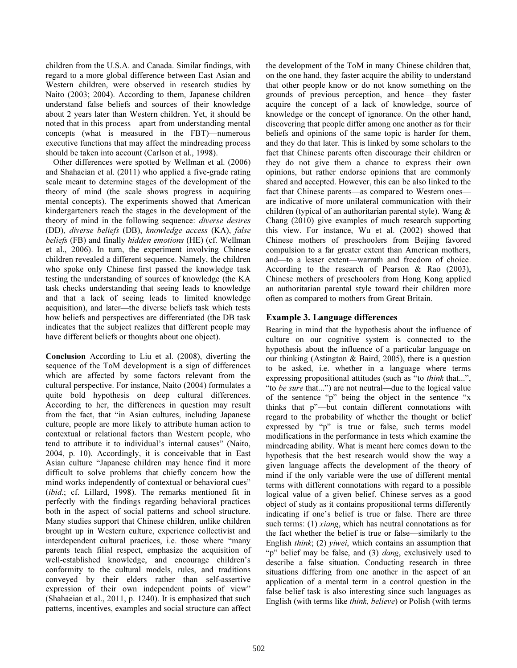children from the U.S.A. and Canada. Similar findings, with regard to a more global difference between East Asian and Western children, were observed in research studies by Naito (2003; 2004). According to them, Japanese children understand false beliefs and sources of their knowledge about 2 years later than Western children. Yet, it should be noted that in this process—apart from understanding mental concepts (what is measured in the FBT)—numerous executive functions that may affect the mindreading process should be taken into account (Carlson et al., 1998).

Other differences were spotted by Wellman et al. (2006) and Shahaeian et al. (2011) who applied a five-grade rating scale meant to determine stages of the development of the theory of mind (the scale shows progress in acquiring mental concepts). The experiments showed that American kindergarteners reach the stages in the development of the theory of mind in the following sequence: diverse desires (DD), diverse beliefs (DB), knowledge access (KA), false beliefs (FB) and finally hidden emotions (HE) (cf. Wellman et al., 2006). In turn, the experiment involving Chinese children revealed a different sequence. Namely, the children who spoke only Chinese first passed the knowledge task testing the understanding of sources of knowledge (the KA task checks understanding that seeing leads to knowledge and that a lack of seeing leads to limited knowledge acquisition), and later—the diverse beliefs task which tests how beliefs and perspectives are differentiated (the DB task indicates that the subject realizes that different people may have different beliefs or thoughts about one object).

Conclusion According to Liu et al. (2008), diverting the sequence of the ToM development is a sign of differences which are affected by some factors relevant from the cultural perspective. For instance, Naito (2004) formulates a quite bold hypothesis on deep cultural differences. According to her, the differences in question may result from the fact, that "in Asian cultures, including Japanese culture, people are more likely to attribute human action to contextual or relational factors than Western people, who tend to attribute it to individual's internal causes" (Naito, 2004, p. 10). Accordingly, it is conceivable that in East Asian culture "Japanese children may hence find it more difficult to solve problems that chiefly concern how the mind works independently of contextual or behavioral cues" (ibid.; cf. Lillard, 1998). The remarks mentioned fit in perfectly with the findings regarding behavioral practices both in the aspect of social patterns and school structure. Many studies support that Chinese children, unlike children brought up in Western culture, experience collectivist and interdependent cultural practices, i.e. those where "many parents teach filial respect, emphasize the acquisition of well-established knowledge, and encourage children's conformity to the cultural models, rules, and traditions conveyed by their elders rather than self-assertive expression of their own independent points of view" (Shahaeian et al., 2011, p. 1240). It is emphasized that such patterns, incentives, examples and social structure can affect the development of the ToM in many Chinese children that, on the one hand, they faster acquire the ability to understand that other people know or do not know something on the grounds of previous perception, and hence—they faster acquire the concept of a lack of knowledge, source of knowledge or the concept of ignorance. On the other hand, discovering that people differ among one another as for their beliefs and opinions of the same topic is harder for them, and they do that later. This is linked by some scholars to the fact that Chinese parents often discourage their children or they do not give them a chance to express their own opinions, but rather endorse opinions that are commonly shared and accepted. However, this can be also linked to the fact that Chinese parents—as compared to Western ones are indicative of more unilateral communication with their children (typical of an authoritarian parental style). Wang & Chang (2010) give examples of much research supporting this view. For instance, Wu et al. (2002) showed that Chinese mothers of preschoolers from Beijing favored compulsion to a far greater extent than American mothers, and—to a lesser extent—warmth and freedom of choice. According to the research of Pearson & Rao (2003), Chinese mothers of preschoolers from Hong Kong applied an authoritarian parental style toward their children more often as compared to mothers from Great Britain.

## Example 3. Language differences

Bearing in mind that the hypothesis about the influence of culture on our cognitive system is connected to the hypothesis about the influence of a particular language on our thinking (Astington & Baird, 2005), there is a question to be asked, i.e. whether in a language where terms expressing propositional attitudes (such as "to think that...", "to be sure that...") are not neutral—due to the logical value of the sentence "p" being the object in the sentence "x thinks that p"—but contain different connotations with regard to the probability of whether the thought or belief expressed by "p" is true or false, such terms model modifications in the performance in tests which examine the mindreading ability. What is meant here comes down to the hypothesis that the best research would show the way a given language affects the development of the theory of mind if the only variable were the use of different mental terms with different connotations with regard to a possible logical value of a given belief. Chinese serves as a good object of study as it contains propositional terms differently indicating if one's belief is true or false. There are three such terms: (1) xiang, which has neutral connotations as for the fact whether the belief is true or false—similarly to the English think; (2) yiwei, which contains an assumption that "p" belief may be false, and (3) dang, exclusively used to describe a false situation. Conducting research in three situations differing from one another in the aspect of an application of a mental term in a control question in the false belief task is also interesting since such languages as English (with terms like think, believe) or Polish (with terms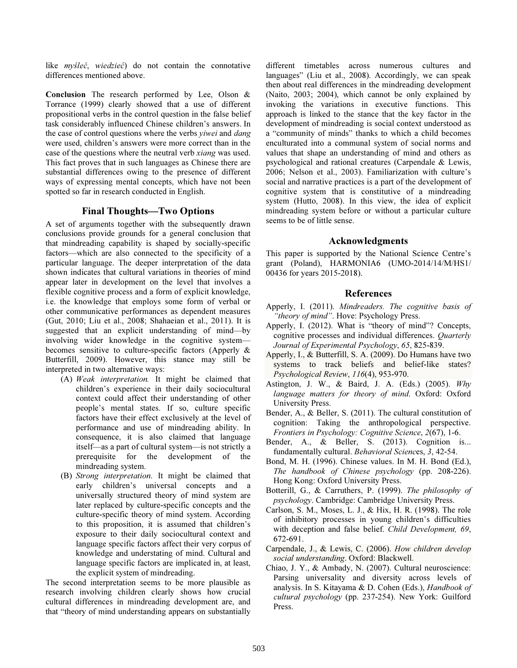like myśleć, wiedzieć) do not contain the connotative differences mentioned above.

Conclusion The research performed by Lee, Olson & Torrance (1999) clearly showed that a use of different propositional verbs in the control question in the false belief task considerably influenced Chinese children's answers. In the case of control questions where the verbs *viwei* and *dang* were used, children's answers were more correct than in the case of the questions where the neutral verb xiang was used. This fact proves that in such languages as Chinese there are substantial differences owing to the presence of different ways of expressing mental concepts, which have not been spotted so far in research conducted in English.

#### Final Thoughts—Two Options

A set of arguments together with the subsequently drawn conclusions provide grounds for a general conclusion that that mindreading capability is shaped by socially-specific factors—which are also connected to the specificity of a particular language. The deeper interpretation of the data shown indicates that cultural variations in theories of mind appear later in development on the level that involves a flexible cognitive process and a form of explicit knowledge, i.e. the knowledge that employs some form of verbal or other communicative performances as dependent measures (Gut, 2010; Liu et al., 2008; Shahaeian et al., 2011). It is suggested that an explicit understanding of mind—by involving wider knowledge in the cognitive system becomes sensitive to culture-specific factors (Apperly & Butterfill, 2009). However, this stance may still be interpreted in two alternative ways:

- (A) Weak interpretation. It might be claimed that children's experience in their daily sociocultural context could affect their understanding of other people's mental states. If so, culture specific factors have their effect exclusively at the level of performance and use of mindreading ability. In consequence, it is also claimed that language itself—as a part of cultural system—is not strictly a prerequisite for the development of the mindreading system.
- (B) Strong interpretation. It might be claimed that early children's universal concepts and a universally structured theory of mind system are later replaced by culture-specific concepts and the culture-specific theory of mind system. According to this proposition, it is assumed that children's exposure to their daily sociocultural context and language specific factors affect their very corpus of knowledge and understating of mind. Cultural and language specific factors are implicated in, at least, the explicit system of mindreading.

The second interpretation seems to be more plausible as research involving children clearly shows how crucial cultural differences in mindreading development are, and that "theory of mind understanding appears on substantially different timetables across numerous cultures and languages" (Liu et al., 2008). Accordingly, we can speak then about real differences in the mindreading development (Naito, 2003; 2004), which cannot be only explained by invoking the variations in executive functions. This approach is linked to the stance that the key factor in the development of mindreading is social context understood as a "community of minds" thanks to which a child becomes enculturated into a communal system of social norms and values that shape an understanding of mind and others as psychological and rational creatures (Carpendale & Lewis, 2006; Nelson et al., 2003). Familiarization with culture's social and narrative practices is a part of the development of cognitive system that is constitutive of a mindreading system (Hutto, 2008). In this view, the idea of explicit mindreading system before or without a particular culture seems to be of little sense.

### Acknowledgments

This paper is supported by the National Science Centre's grant (Poland), HARMONIA6 (UMO-2014/14/M/HS1/ 00436 for years 2015-2018).

### References

- Apperly, I. (2011). Mindreaders. The cognitive basis of "theory of mind". Hove: Psychology Press.
- Apperly, I. (2012). What is "theory of mind"? Concepts, cognitive processes and individual differences. Quarterly Journal of Experimental Psychology, 65, 825-839.
- Apperly, I., & Butterfill, S. A. (2009). Do Humans have two systems to track beliefs and belief-like states? Psychological Review, 116(4), 953-970.
- Astington, J. W., & Baird, J. A. (Eds.) (2005). Why language matters for theory of mind. Oxford: Oxford University Press.
- Bender, A., & Beller, S. (2011). The cultural constitution of cognition: Taking the anthropological perspective. Frontiers in Psychology: Cognitive Science, 2(67), 1-6.
- Bender, A., & Beller, S. (2013). Cognition is... fundamentally cultural. Behavioral Sciences, 3, 42-54.
- Bond, M. H. (1996). Chinese values. In M. H. Bond (Ed.), The handbook of Chinese psychology (pp. 208-226). Hong Kong: Oxford University Press.
- Botterill, G., & Carruthers, P. (1999). The philosophy of psychology. Cambridge: Cambridge University Press.
- Carlson, S. M., Moses, L. J., & Hix, H. R. (1998). The role of inhibitory processes in young children's difficulties with deception and false belief. Child Development, 69, 672-691.
- Carpendale, J., & Lewis, C. (2006). How children develop social understanding. Oxford: Blackwell.
- Chiao, J. Y., & Ambady, N. (2007). Cultural neuroscience: Parsing universality and diversity across levels of analysis. In S. Kitayama & D. Cohen (Eds.), Handbook of cultural psychology (pp. 237-254). New York: Guilford Press.